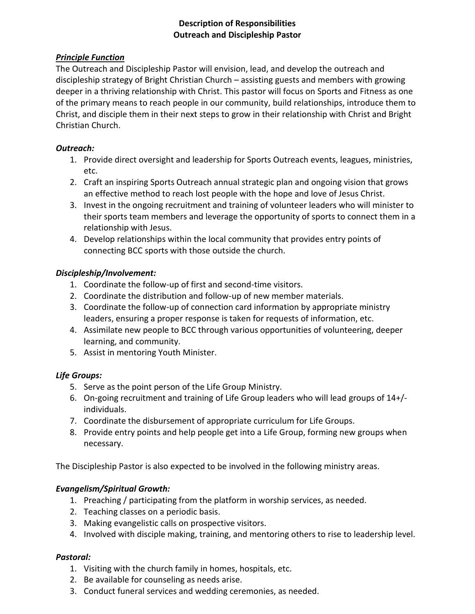# **Description of Responsibilities Outreach and Discipleship Pastor**

# *Principle Function*

The Outreach and Discipleship Pastor will envision, lead, and develop the outreach and discipleship strategy of Bright Christian Church – assisting guests and members with growing deeper in a thriving relationship with Christ. This pastor will focus on Sports and Fitness as one of the primary means to reach people in our community, build relationships, introduce them to Christ, and disciple them in their next steps to grow in their relationship with Christ and Bright Christian Church.

# *Outreach:*

- 1. Provide direct oversight and leadership for Sports Outreach events, leagues, ministries, etc.
- 2. Craft an inspiring Sports Outreach annual strategic plan and ongoing vision that grows an effective method to reach lost people with the hope and love of Jesus Christ.
- 3. Invest in the ongoing recruitment and training of volunteer leaders who will minister to their sports team members and leverage the opportunity of sports to connect them in a relationship with Jesus.
- 4. Develop relationships within the local community that provides entry points of connecting BCC sports with those outside the church.

# *Discipleship/Involvement:*

- 1. Coordinate the follow-up of first and second-time visitors.
- 2. Coordinate the distribution and follow-up of new member materials.
- 3. Coordinate the follow-up of connection card information by appropriate ministry leaders, ensuring a proper response is taken for requests of information, etc.
- 4. Assimilate new people to BCC through various opportunities of volunteering, deeper learning, and community.
- 5. Assist in mentoring Youth Minister.

# *Life Groups:*

- 5. Serve as the point person of the Life Group Ministry.
- 6. On-going recruitment and training of Life Group leaders who will lead groups of 14+/ individuals.
- 7. Coordinate the disbursement of appropriate curriculum for Life Groups.
- 8. Provide entry points and help people get into a Life Group, forming new groups when necessary.

The Discipleship Pastor is also expected to be involved in the following ministry areas.

# *Evangelism/Spiritual Growth:*

- 1. Preaching / participating from the platform in worship services, as needed.
- 2. Teaching classes on a periodic basis.
- 3. Making evangelistic calls on prospective visitors.
- 4. Involved with disciple making, training, and mentoring others to rise to leadership level.

# *Pastoral:*

- 1. Visiting with the church family in homes, hospitals, etc.
- 2. Be available for counseling as needs arise.
- 3. Conduct funeral services and wedding ceremonies, as needed.